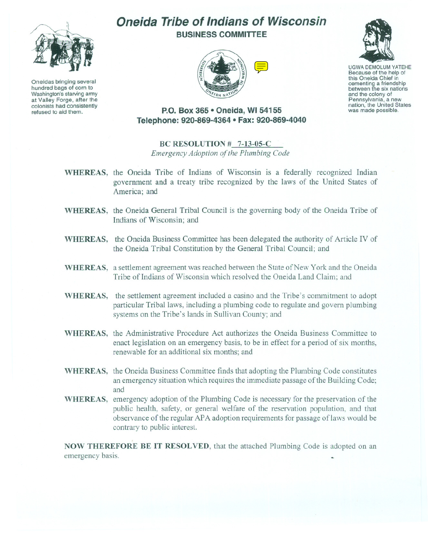

Oneidas bringing several hundred bags of corn to Washington's starving army at Valley Forge, after the colonists had consistently refused to aid them.

# **Oneida Tribe of Indians of Wisconsin BUSINESS COMMITTEE**





UGWA DEMOLUM YATEHE Because of the help of this Oneida Chief in cementing <sup>a</sup> friendship between the six nations and the colony of<br>Pennsylvania, a new nation, the United States was made possible.

# **P.O. Box 365 • Oneida, WI 54155 Telephone: 920-869-4364 • Fax: 920-869-4040**

# **BC RESOLUTION # 7-13-05-C**

*Emergency Adoption of the Plumbing Code*

- **WHEREAS,** the Oneida Tribe of Indians of Wisconsin is a federally recognized Indian government and a treaty tribe recognized by the laws of the United States of America; and
- **WHEREAS,** the Oneida General Tribal Council is the governing body of the Oneida Tribe of Indians of Wisconsin; and
- **WHEREAS,** the Oneida Business Committee has been delegated the authority of Article IV of the Oneida Tribal Constitution by the General Tribal Council; and
- **WHEREAS,** a settlement agreement was reached between the State of New York and the Oneida Tribe of Indians of Wisconsin which resolved the Oneida Land Claim; and
- **WHEREAS,** the settlement agreement included a casino and the Tribe's commitment to adopt particular Tribal laws, including a plumbing code to regulate and govern plumbing systems on the Tribe's lands in Sullivan County; and
- **WHEREAS,** the Administrative Procedure Act authorizes the Oneida Business Committee to enact legislation on an emergency basis, to be in effect for a period of six months, renewable for an additional six months; and
- **WHEREAS,** the Oneida Business Committee finds that adopting the Plumbing Code constitutes an emergency situation which requires the immediate passage of the Building Code; and
- **WHEREAS,** emergency adoption of the Plumbing Code is necessary for the preservation of the public health, safety, or general welfare of the reservation population, and that observance of the regular APA adoption requirements for passage of laws would be contrary to public interest.

**NOW THEREFORE BE IT RESOLVED,** that the attached Plumbing Code is adopted on an emergency basis.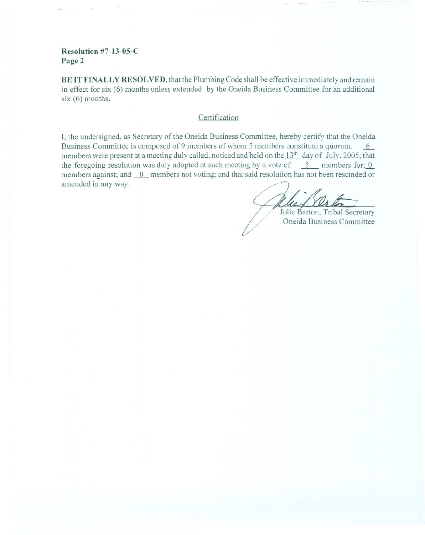### **Resolution #7-13-05-C Page 2**

**BE IT FINALLY RESOL VED,** that the Plumbing Code shall be effective immediately and remain in effect for six (6) months unless extended by the Oneida Business Committee for an additional six (6) months.

#### **Certification**

**I,** the undersigned, as Secretary of the Oneida Business Committee, hereby certify that the Oneida Business Committee is composed of 9 members of whom 5 members constitute a quorum. members were present at a meeting duly called, noticed and held on the  $13<sup>th</sup>$  day of July, 2005; that the foregoing resolution was duly adopted at such meeting by a vote of  $\overline{5}$  members for; 0 members against; and <u>0</u>\_ members not voting; and that said resolution has not been rescinded or<br>amended in any way.<br>**Alle Santon**, Tribal Secretary

Julie Barton, Tribal Secretary<br>Oneida Business Committee